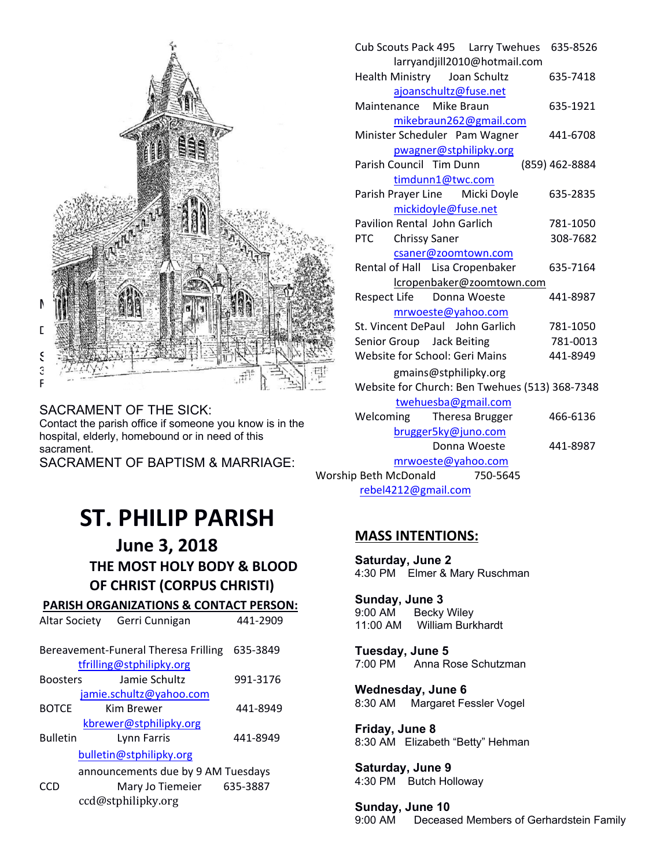

#### SACRAMENT OF THE SICK: Contact the parish office if someone you know is in the hospital, elderly, homebound or in need of this sacrament.

SACRAMENT OF BAPTISM & MARRIAGE:

|                                   | Cub Scouts Pack 495   Larry Twehues   635-8526<br>larryandjill2010@hotmail.com |                |  |  |
|-----------------------------------|--------------------------------------------------------------------------------|----------------|--|--|
|                                   | Health Ministry<br>Joan Schultz                                                | 635-7418       |  |  |
|                                   | ajoanschultz@fuse.net                                                          |                |  |  |
|                                   | Maintenance Mike Braun                                                         | 635-1921       |  |  |
|                                   | mikebraun262@gmail.com                                                         |                |  |  |
|                                   | Minister Scheduler Pam Wagner                                                  | 441-6708       |  |  |
|                                   | pwagner@stphilipky.org                                                         |                |  |  |
|                                   | Parish Council Tim Dunn                                                        | (859) 462-8884 |  |  |
|                                   | timdunn1@twc.com                                                               |                |  |  |
|                                   | Parish Prayer Line Micki Doyle                                                 | 635-2835       |  |  |
|                                   | mickidoyle@fuse.net                                                            |                |  |  |
|                                   | Pavilion Rental John Garlich                                                   | 781-1050       |  |  |
|                                   | <b>PTC</b><br><b>Chrissy Saner</b><br>csaner@zoomtown.com                      | 308-7682       |  |  |
|                                   | Rental of Hall Lisa Cropenbaker                                                | 635-7164       |  |  |
|                                   | lcropenbaker@zoomtown.com                                                      |                |  |  |
|                                   | Respect Life<br>Donna Woeste                                                   | 441-8987       |  |  |
|                                   | mrwoeste@yahoo.com                                                             |                |  |  |
|                                   | St. Vincent DePaul John Garlich                                                | 781-1050       |  |  |
|                                   | Senior Group Jack Beiting                                                      | 781-0013       |  |  |
|                                   | Website for School: Geri Mains                                                 | 441-8949       |  |  |
|                                   | gmains@stphilipky.org                                                          |                |  |  |
|                                   | Website for Church: Ben Twehues (513) 368-7348                                 |                |  |  |
|                                   | twehuesba@gmail.com                                                            |                |  |  |
|                                   | Theresa Brugger<br>Welcoming                                                   | 466-6136       |  |  |
|                                   | brugger5ky@juno.com                                                            |                |  |  |
|                                   | Donna Woeste                                                                   | 441-8987       |  |  |
|                                   | mrwoeste@yahoo.com                                                             |                |  |  |
| Worship Beth McDonald<br>750-5645 |                                                                                |                |  |  |
|                                   | rebel4212@gmail.com                                                            |                |  |  |

# **ST. PHILIP PARISH**

 **June 3, 2018 THE MOST HOLY BODY & BLOOD OF CHRIST (CORPUS CHRISTI)**

### **PARISH ORGANIZATIONS & CONTACT PERSON:**

|                                        |                    | Sundav                                         |
|----------------------------------------|--------------------|------------------------------------------------|
| Mary Jo Tiemeier                       |                    | <b>Saturda</b><br>4:30 PM                      |
| bulletin@stphilipky.org                |                    |                                                |
| <b>Bulletin</b><br>Lynn Farris         | 441-8949           | 8:30 AM                                        |
| kbrewer@stphilipky.org                 |                    | Friday,                                        |
| Kim Brewer                             | 441-8949           | 8:30 AM                                        |
| jamie.schultz@yahoo.com                |                    | <b>Wednes</b>                                  |
| Jamie Schultz<br><b>Boosters</b>       | 991-3176           |                                                |
| tfrilling@stphilipky.org               |                    | 7:00 PM                                        |
| Bereavement-Funeral Theresa Frilling   | 635-3849           | <b>Tuesda</b>                                  |
| <b>Altar Society</b><br>Gerri Cunnigan | 441-2909           | וואור <i>ז</i> טע.<br>11:00 AM                 |
|                                        | ccd@stphilipky.org | announcements due by 9 AM Tuesdays<br>635-3887 |

## **MASS INTENTIONS:**

**Saturday, June 2** 4:30 PM Elmer & Mary Ruschman

**Sunday, June 3**  9:00 AM Becky Wiley 11:00 AM William Burkhardt

**Tuesday, June 5** 7:00 PM Anna Rose Schutzman

**Wednesday, June 6** 8:30 AM Margaret Fessler Vogel

**Friday, June 8** 8:30 AM Elizabeth "Betty" Hehman

**Saturday, June 9** 4:30 PM Butch Holloway

**Sunday, June 10**  9:00 AM Deceased Members of Gerhardstein Family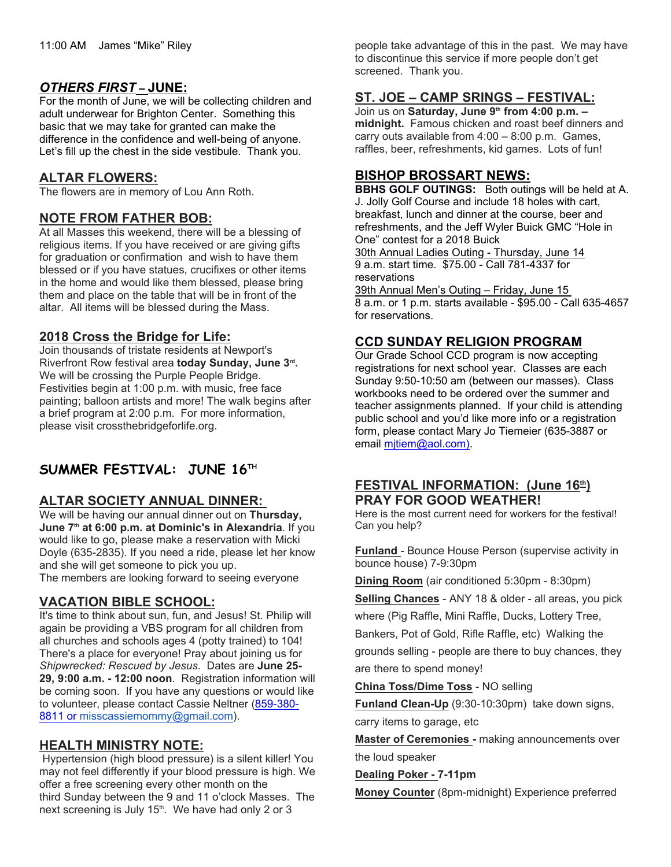#### *OTHERS FIRST* **– JUNE:**

For the month of June, we will be collecting children and adult underwear for Brighton Center. Something this basic that we may take for granted can make the difference in the confidence and well-being of anyone. Let's fill up the chest in the side vestibule. Thank you.

#### **ALTAR FLOWERS:**

The flowers are in memory of Lou Ann Roth.

#### **NOTE FROM FATHER BOB:**

At all Masses this weekend, there will be a blessing of religious items. If you have received or are giving gifts for graduation or confirmation and wish to have them blessed or if you have statues, crucifixes or other items in the home and would like them blessed, please bring them and place on the table that will be in front of the altar. All items will be blessed during the Mass.

#### **2018 Cross the Bridge for Life:**

Join thousands of tristate residents at Newport's Riverfront Row festival area **today Sunday, June 3rd .** We will be crossing the Purple People Bridge. Festivities begin at 1:00 p.m. with music, free face painting; balloon artists and more! The walk begins after a brief program at 2:00 p.m. For more information, please visit crossthebridgeforlife.org.

## **SUMMER FESTIVAL: JUNE 16TH**

#### **ALTAR SOCIETY ANNUAL DINNER:**

We will be having our annual dinner out on **Thursday, June 7th at 6:00 p.m. at Dominic's in Alexandria**. If you would like to go, please make a reservation with Micki Doyle (635-2835). If you need a ride, please let her know and she will get someone to pick you up. The members are looking forward to seeing everyone

#### **VACATION BIBLE SCHOOL:**

It's time to think about sun, fun, and Jesus! St. Philip will again be providing a VBS program for all children from all churches and schools ages 4 (potty trained) to 104! There's a place for everyone! Pray about joining us for *Shipwrecked: Rescued by Jesus*. Dates are **June 25- 29, 9:00 a.m. - 12:00 noon**. Registration information will be coming soon. If you have any questions or would like to volunteer, please contact Cassie Neltner (859-380- 8811 or misscassiemommy@gmail.com).

#### **HEALTH MINISTRY NOTE:**

 Hypertension (high blood pressure) is a silent killer! You may not feel differently if your blood pressure is high. We offer a free screening every other month on the third Sunday between the 9 and 11 o'clock Masses. The next screening is July 15<sup>th</sup>. We have had only 2 or 3

people take advantage of this in the past. We may have to discontinue this service if more people don't get screened. Thank you.

#### **ST. JOE – CAMP SRINGS – FESTIVAL:**

Join us on **Saturday, June 9th from 4:00 p.m. – midnight.** Famous chicken and roast beef dinners and carry outs available from 4:00 – 8:00 p.m. Games, raffles, beer, refreshments, kid games. Lots of fun!

#### **BISHOP BROSSART NEWS:**

**BBHS GOLF OUTINGS:** Both outings will be held at A. J. Jolly Golf Course and include 18 holes with cart, breakfast, lunch and dinner at the course, beer and refreshments, and the Jeff Wyler Buick GMC "Hole in One" contest for a 2018 Buick 30th Annual Ladies Outing - Thursday, June 14

9 a.m. start time. \$75.00 - Call 781-4337 for reservations

39th Annual Men's Outing – Friday, June 15 8 a.m. or 1 p.m. starts available - \$95.00 - Call 635-4657 for reservations.

#### **CCD SUNDAY RELIGION PROGRAM**

Our Grade School CCD program is now accepting registrations for next school year. Classes are each Sunday 9:50-10:50 am (between our masses). Class workbooks need to be ordered over the summer and teacher assignments planned. If your child is attending public school and you'd like more info or a registration form, please contact Mary Jo Tiemeier (635-3887 or email mjtiem@aol.com).

#### **FESTIVAL INFORMATION: (June 16th) PRAY FOR GOOD WEATHER!**

Here is the most current need for workers for the festival! Can you help?

**Funland** - Bounce House Person (supervise activity in bounce house) 7-9:30pm

**Dining Room** (air conditioned 5:30pm - 8:30pm)

**Selling Chances** - ANY 18 & older - all areas, you pick

where (Pig Raffle, Mini Raffle, Ducks, Lottery Tree,

Bankers, Pot of Gold, Rifle Raffle, etc) Walking the

grounds selling - people are there to buy chances, they are there to spend money!

**China Toss/Dime Toss** - NO selling

**Funland Clean-Up** (9:30-10:30pm) take down signs,

carry items to garage, etc

**Master of Ceremonies -** making announcements over the loud speaker

**Dealing Poker - 7-11pm**

**Money Counter** (8pm-midnight) Experience preferred